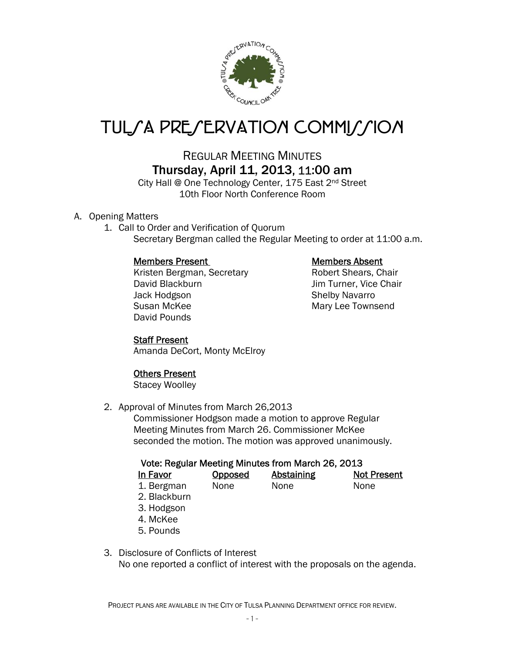

# TUL*SA PRESERVATION COMMISSION*

## REGULAR MEETING MINUTES Thursday, April 11, 2013, 11:00 am

City Hall @ One Technology Center, 175 East 2<sup>nd</sup> Street 10th Floor North Conference Room

### A. Opening Matters

1. Call to Order and Verification of Quorum Secretary Bergman called the Regular Meeting to order at 11:00 a.m.

### Members Present Members Absent

Kristen Bergman, Secretary **Robert Shears, Chair** David Blackburn Jim Turner, Vice Chair Jack Hodgson Shelby Navarro Susan McKee Mary Lee Townsend David Pounds

### Staff Present

Amanda DeCort, Monty McElroy

### Others Present

Stacey Woolley

2. Approval of Minutes from March 26,2013

Commissioner Hodgson made a motion to approve Regular Meeting Minutes from March 26. Commissioner McKee seconded the motion. The motion was approved unanimously.

### Vote: Regular Meeting Minutes from March 26, 2013

| In Favor   | <b>Opposed</b> | <b>Abstaining</b> | <b>Not Present</b> |
|------------|----------------|-------------------|--------------------|
| 1. Bergman | None           | None              | None               |

- 2. Blackburn
- 3. Hodgson
- 4. McKee
- 5. Pounds

#### 3. Disclosure of Conflicts of Interest No one reported a conflict of interest with the proposals on the agenda.

PROJECT PLANS ARE AVAILABLE IN THE CITY OF TULSA PLANNING DEPARTMENT OFFICE FOR REVIEW.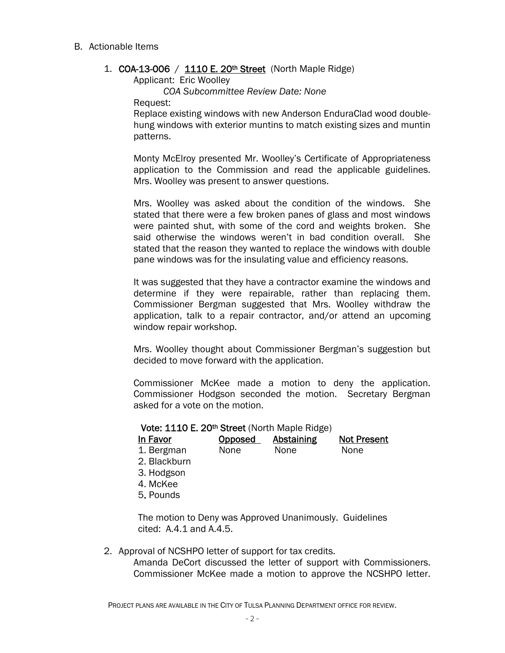#### B. Actionable Items

#### 1. COA-13-006 / 1110 E. 20th Street (North Maple Ridge)

Applicant: Eric Woolley

 *COA Subcommittee Review Date: None* 

Request:

Replace existing windows with new Anderson EnduraClad wood doublehung windows with exterior muntins to match existing sizes and muntin patterns.

Monty McElroy presented Mr. Woolley's Certificate of Appropriateness application to the Commission and read the applicable guidelines. Mrs. Woolley was present to answer questions.

Mrs. Woolley was asked about the condition of the windows. She stated that there were a few broken panes of glass and most windows were painted shut, with some of the cord and weights broken. She said otherwise the windows weren't in bad condition overall. She stated that the reason they wanted to replace the windows with double pane windows was for the insulating value and efficiency reasons.

It was suggested that they have a contractor examine the windows and determine if they were repairable, rather than replacing them. Commissioner Bergman suggested that Mrs. Woolley withdraw the application, talk to a repair contractor, and/or attend an upcoming window repair workshop.

Mrs. Woolley thought about Commissioner Bergman's suggestion but decided to move forward with the application.

Commissioner McKee made a motion to deny the application. Commissioner Hodgson seconded the motion. Secretary Bergman asked for a vote on the motion.

#### Vote: 1110 E. 20<sup>th</sup> Street (North Maple Ridge)

| In Favor     | Opposed | Abstaining | <b>Not Present</b> |
|--------------|---------|------------|--------------------|
| 1. Bergman   | None    | None       | None               |
| 2. Blackburn |         |            |                    |
| 3. Hodgson   |         |            |                    |
| 4. McKee     |         |            |                    |
| 5. Pounds    |         |            |                    |

The motion to Deny was Approved Unanimously. Guidelines cited: A.4.1 and A.4.5.

2. Approval of NCSHPO letter of support for tax credits.

Amanda DeCort discussed the letter of support with Commissioners. Commissioner McKee made a motion to approve the NCSHPO letter.

PROJECT PLANS ARE AVAILABLE IN THE CITY OF TULSA PLANNING DEPARTMENT OFFICE FOR REVIEW.